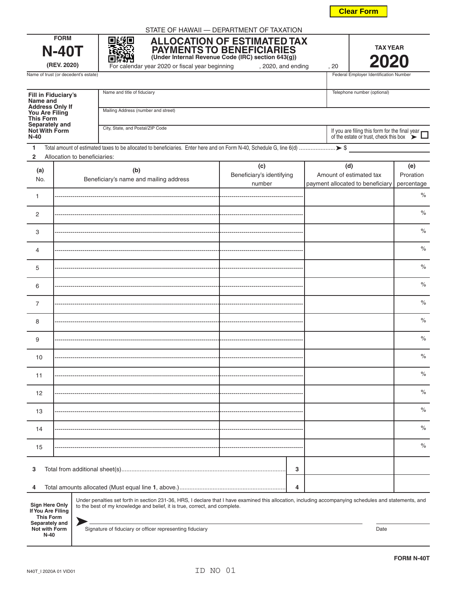**N-40**

|  |  |  | . . |
|--|--|--|-----|
|  |  |  |     |
|  |  |  |     |

|                                          | <b>Clear Form</b> |  |
|------------------------------------------|-------------------|--|
| STATE OF HAWAII — DEPARTMENT OF TAXATION |                   |  |

|                                                                                                                                                                                                                                                                                                        | <b>FORM</b><br><b>N-40T</b><br>(REV. 2020) | 回线回<br>AH.                          | For calendar year 2020 or fiscal year beginning |  | <b>ALLOCATION OF ESTIMATED TAX</b><br>PAYMENTS TO BENEFICIARIES<br>(Under Internal Revenue Code (IRC) section 643(g))<br>, 2020, and ending |   |  | , 20 | <b>TAX YEAR</b><br>2020                                                                      |                    |  |
|--------------------------------------------------------------------------------------------------------------------------------------------------------------------------------------------------------------------------------------------------------------------------------------------------------|--------------------------------------------|-------------------------------------|-------------------------------------------------|--|---------------------------------------------------------------------------------------------------------------------------------------------|---|--|------|----------------------------------------------------------------------------------------------|--------------------|--|
|                                                                                                                                                                                                                                                                                                        | Name of trust (or decedent's estate)       |                                     |                                                 |  |                                                                                                                                             |   |  |      | Federal Employer Identification Number                                                       |                    |  |
| <b>Fill in Fiduciary's</b><br>Name and                                                                                                                                                                                                                                                                 |                                            | Name and title of fiduciary         |                                                 |  |                                                                                                                                             |   |  |      | Telephone number (optional)                                                                  |                    |  |
| <b>Address Only If</b><br>You Are Filing<br><b>This Form</b>                                                                                                                                                                                                                                           |                                            | Mailing Address (number and street) |                                                 |  |                                                                                                                                             |   |  |      |                                                                                              |                    |  |
| Separately and<br>City, State, and Postal/ZIP Code<br>Not With Form<br>$N-40$                                                                                                                                                                                                                          |                                            |                                     |                                                 |  |                                                                                                                                             |   |  |      | If you are filing this form for the final year of the estate or trust, check this box $\sum$ |                    |  |
| 1<br>$\overline{2}$                                                                                                                                                                                                                                                                                    | Allocation to beneficiaries:               |                                     |                                                 |  |                                                                                                                                             |   |  |      |                                                                                              |                    |  |
| (a)<br>No.                                                                                                                                                                                                                                                                                             |                                            | (b)                                 | Beneficiary's name and mailing address          |  | (c)<br>Beneficiary's identifying                                                                                                            |   |  | (d)  | Amount of estimated tax                                                                      | (e)<br>Proration   |  |
| 1                                                                                                                                                                                                                                                                                                      |                                            |                                     |                                                 |  | number                                                                                                                                      |   |  |      | payment allocated to beneficiary                                                             | percentage<br>$\%$ |  |
| 2                                                                                                                                                                                                                                                                                                      |                                            |                                     |                                                 |  |                                                                                                                                             |   |  |      |                                                                                              | $\%$               |  |
| 3                                                                                                                                                                                                                                                                                                      |                                            |                                     |                                                 |  |                                                                                                                                             |   |  |      |                                                                                              | $\%$               |  |
| 4                                                                                                                                                                                                                                                                                                      |                                            |                                     |                                                 |  |                                                                                                                                             |   |  |      |                                                                                              | $\%$               |  |
| 5                                                                                                                                                                                                                                                                                                      |                                            |                                     |                                                 |  |                                                                                                                                             |   |  |      |                                                                                              | $\%$               |  |
| 6                                                                                                                                                                                                                                                                                                      |                                            |                                     |                                                 |  |                                                                                                                                             |   |  |      |                                                                                              | $\%$               |  |
| 7                                                                                                                                                                                                                                                                                                      |                                            |                                     |                                                 |  |                                                                                                                                             |   |  |      |                                                                                              | $\%$               |  |
| 8                                                                                                                                                                                                                                                                                                      |                                            |                                     |                                                 |  |                                                                                                                                             |   |  |      |                                                                                              | $\%$               |  |
| 9                                                                                                                                                                                                                                                                                                      |                                            |                                     |                                                 |  |                                                                                                                                             |   |  |      |                                                                                              | $\%$               |  |
| 10                                                                                                                                                                                                                                                                                                     |                                            |                                     |                                                 |  |                                                                                                                                             |   |  |      |                                                                                              | $\%$               |  |
| 11                                                                                                                                                                                                                                                                                                     |                                            |                                     |                                                 |  |                                                                                                                                             |   |  |      |                                                                                              | $\%$               |  |
| 12                                                                                                                                                                                                                                                                                                     |                                            |                                     |                                                 |  |                                                                                                                                             |   |  |      |                                                                                              | %                  |  |
| 13                                                                                                                                                                                                                                                                                                     |                                            |                                     |                                                 |  |                                                                                                                                             |   |  |      |                                                                                              | $\%$               |  |
| 14                                                                                                                                                                                                                                                                                                     |                                            |                                     |                                                 |  |                                                                                                                                             |   |  |      |                                                                                              | $\%$               |  |
| 15                                                                                                                                                                                                                                                                                                     |                                            |                                     |                                                 |  |                                                                                                                                             |   |  |      |                                                                                              | %                  |  |
| 3                                                                                                                                                                                                                                                                                                      |                                            |                                     |                                                 |  |                                                                                                                                             | 3 |  |      |                                                                                              |                    |  |
| 4                                                                                                                                                                                                                                                                                                      |                                            |                                     |                                                 |  |                                                                                                                                             | 4 |  |      |                                                                                              |                    |  |
| Under penalties set forth in section 231-36, HRS, I declare that I have examined this allocation, including accompanying schedules and statements, and<br><b>Sign Here Only</b><br>to the best of my knowledge and belief, it is true, correct, and complete.<br>If You Are Filing<br><b>This Form</b> |                                            |                                     |                                                 |  |                                                                                                                                             |   |  |      |                                                                                              |                    |  |
| Separately and<br>Signature of fiduciary or officer representing fiduciary<br>Not with Form<br>Date                                                                                                                                                                                                    |                                            |                                     |                                                 |  |                                                                                                                                             |   |  |      |                                                                                              |                    |  |